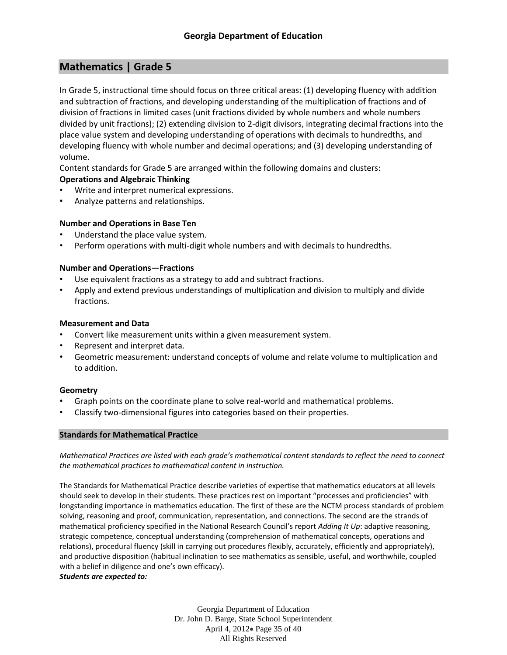# **Mathematics | Grade 5**

In Grade 5, instructional time should focus on three critical areas: (1) developing fluency with addition and subtraction of fractions, and developing understanding of the multiplication of fractions and of division of fractions in limited cases (unit fractions divided by whole numbers and whole numbers divided by unit fractions); (2) extending division to 2-digit divisors, integrating decimal fractions into the place value system and developing understanding of operations with decimals to hundredths, and developing fluency with whole number and decimal operations; and (3) developing understanding of volume.

Content standards for Grade 5 are arranged within the following domains and clusters:

# **Operations and Algebraic Thinking**

- Write and interpret numerical expressions.
- Analyze patterns and relationships.

# **Number and Operations in Base Ten**

- Understand the place value system.
- Perform operations with multi-digit whole numbers and with decimals to hundredths.

# **Number and Operations—Fractions**

- Use equivalent fractions as a strategy to add and subtract fractions.
- Apply and extend previous understandings of multiplication and division to multiply and divide fractions.

# **Measurement and Data**

- Convert like measurement units within a given measurement system.
- Represent and interpret data.
- Geometric measurement: understand concepts of volume and relate volume to multiplication and to addition.

# **Geometry**

- Graph points on the coordinate plane to solve real-world and mathematical problems.
- Classify two-dimensional figures into categories based on their properties.

# **Standards for Mathematical Practice**

*Mathematical Practices are listed with each grade's mathematical content standards to reflect the need to connect the mathematical practices to mathematical content in instruction.*

The Standards for Mathematical Practice describe varieties of expertise that mathematics educators at all levels should seek to develop in their students. These practices rest on important "processes and proficiencies" with longstanding importance in mathematics education. The first of these are the NCTM process standards of problem solving, reasoning and proof, communication, representation, and connections. The second are the strands of mathematical proficiency specified in the National Research Council's report *Adding It Up*: adaptive reasoning, strategic competence, conceptual understanding (comprehension of mathematical concepts, operations and relations), procedural fluency (skill in carrying out procedures flexibly, accurately, efficiently and appropriately), and productive disposition (habitual inclination to see mathematics as sensible, useful, and worthwhile, coupled with a belief in diligence and one's own efficacy).

#### *Students are expected to:*

Georgia Department of Education Dr. John D. Barge, State School Superintendent April 4, 2012 Page 35 of 40 All Rights Reserved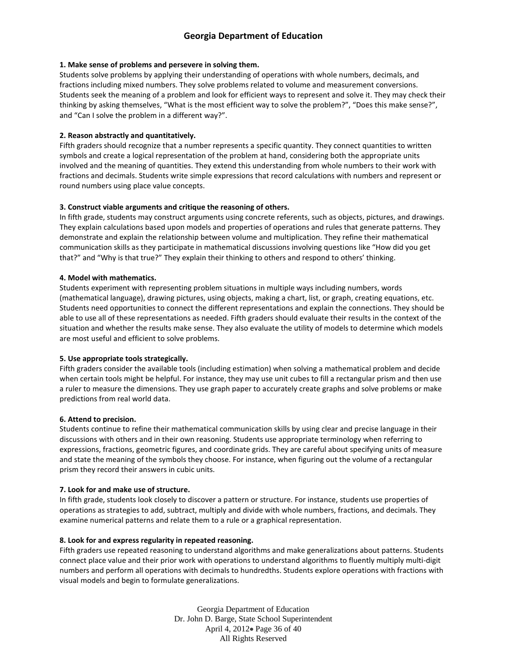#### **1. Make sense of problems and persevere in solving them.**

Students solve problems by applying their understanding of operations with whole numbers, decimals, and fractions including mixed numbers. They solve problems related to volume and measurement conversions. Students seek the meaning of a problem and look for efficient ways to represent and solve it. They may check their thinking by asking themselves, "What is the most efficient way to solve the problem?", "Does this make sense?", and "Can I solve the problem in a different way?".

## **2. Reason abstractly and quantitatively.**

Fifth graders should recognize that a number represents a specific quantity. They connect quantities to written symbols and create a logical representation of the problem at hand, considering both the appropriate units involved and the meaning of quantities. They extend this understanding from whole numbers to their work with fractions and decimals. Students write simple expressions that record calculations with numbers and represent or round numbers using place value concepts.

## **3. Construct viable arguments and critique the reasoning of others.**

In fifth grade, students may construct arguments using concrete referents, such as objects, pictures, and drawings. They explain calculations based upon models and properties of operations and rules that generate patterns. They demonstrate and explain the relationship between volume and multiplication. They refine their mathematical communication skills as they participate in mathematical discussions involving questions like "How did you get that?" and "Why is that true?" They explain their thinking to others and respond to others' thinking.

## **4. Model with mathematics.**

Students experiment with representing problem situations in multiple ways including numbers, words (mathematical language), drawing pictures, using objects, making a chart, list, or graph, creating equations, etc. Students need opportunities to connect the different representations and explain the connections. They should be able to use all of these representations as needed. Fifth graders should evaluate their results in the context of the situation and whether the results make sense. They also evaluate the utility of models to determine which models are most useful and efficient to solve problems.

#### **5. Use appropriate tools strategically.**

Fifth graders consider the available tools (including estimation) when solving a mathematical problem and decide when certain tools might be helpful. For instance, they may use unit cubes to fill a rectangular prism and then use a ruler to measure the dimensions. They use graph paper to accurately create graphs and solve problems or make predictions from real world data.

#### **6. Attend to precision.**

Students continue to refine their mathematical communication skills by using clear and precise language in their discussions with others and in their own reasoning. Students use appropriate terminology when referring to expressions, fractions, geometric figures, and coordinate grids. They are careful about specifying units of measure and state the meaning of the symbols they choose. For instance, when figuring out the volume of a rectangular prism they record their answers in cubic units.

#### **7. Look for and make use of structure.**

In fifth grade, students look closely to discover a pattern or structure. For instance, students use properties of operations as strategies to add, subtract, multiply and divide with whole numbers, fractions, and decimals. They examine numerical patterns and relate them to a rule or a graphical representation.

#### **8. Look for and express regularity in repeated reasoning.**

Fifth graders use repeated reasoning to understand algorithms and make generalizations about patterns. Students connect place value and their prior work with operations to understand algorithms to fluently multiply multi-digit numbers and perform all operations with decimals to hundredths. Students explore operations with fractions with visual models and begin to formulate generalizations.

> Georgia Department of Education Dr. John D. Barge, State School Superintendent April 4, 2012 Page 36 of 40 All Rights Reserved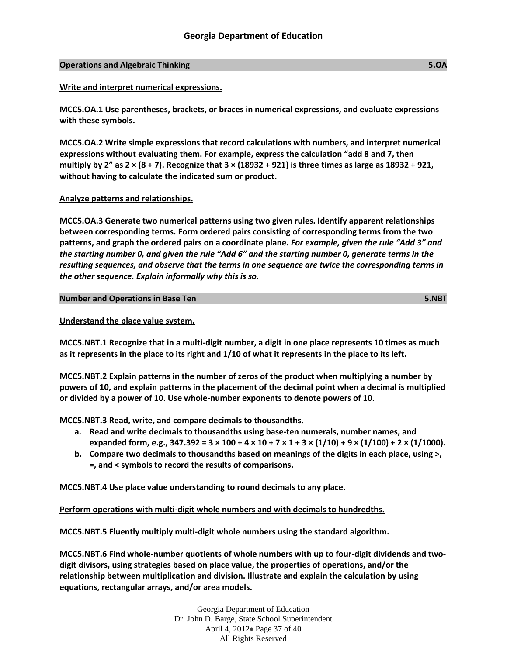## **Operations and Algebraic Thinking 5.OA**

## **Write and interpret numerical expressions.**

**MCC5.OA.1 Use parentheses, brackets, or braces in numerical expressions, and evaluate expressions with these symbols.**

**MCC5.OA.2 Write simple expressions that record calculations with numbers, and interpret numerical expressions without evaluating them. For example, express the calculation "add 8 and 7, then multiply by 2" as 2 × (8 + 7). Recognize that 3 × (18932 + 921) is three times as large as 18932 + 921, without having to calculate the indicated sum or product.**

## **Analyze patterns and relationships.**

**MCC5.OA.3 Generate two numerical patterns using two given rules. Identify apparent relationships between corresponding terms. Form ordered pairs consisting of corresponding terms from the two patterns, and graph the ordered pairs on a coordinate plane.** *For example, given the rule "Add 3" and the starting number 0, and given the rule "Add 6" and the starting number 0, generate terms in the resulting sequences, and observe that the terms in one sequence are twice the corresponding terms in the other sequence. Explain informally why this is so.*

#### **Number and Operations in Base Ten 5.NBT**

## **Understand the place value system.**

**MCC5.NBT.1 Recognize that in a multi-digit number, a digit in one place represents 10 times as much as it represents in the place to its right and 1/10 of what it represents in the place to its left.**

**MCC5.NBT.2 Explain patterns in the number of zeros of the product when multiplying a number by powers of 10, and explain patterns in the placement of the decimal point when a decimal is multiplied or divided by a power of 10. Use whole-number exponents to denote powers of 10.**

**MCC5.NBT.3 Read, write, and compare decimals to thousandths.**

- **a. Read and write decimals to thousandths using base-ten numerals, number names, and**  expanded form, e.g.,  $347.392 = 3 \times 100 + 4 \times 10 + 7 \times 1 + 3 \times (1/10) + 9 \times (1/100) + 2 \times (1/1000)$ .
- **b. Compare two decimals to thousandths based on meanings of the digits in each place, using >, =, and < symbols to record the results of comparisons.**

**MCC5.NBT.4 Use place value understanding to round decimals to any place.**

**Perform operations with multi-digit whole numbers and with decimals to hundredths.** 

**MCC5.NBT.5 Fluently multiply multi-digit whole numbers using the standard algorithm.**

**MCC5.NBT.6 Find whole-number quotients of whole numbers with up to four-digit dividends and twodigit divisors, using strategies based on place value, the properties of operations, and/or the relationship between multiplication and division. Illustrate and explain the calculation by using equations, rectangular arrays, and/or area models.**

> Georgia Department of Education Dr. John D. Barge, State School Superintendent April 4, 2012 Page 37 of 40 All Rights Reserved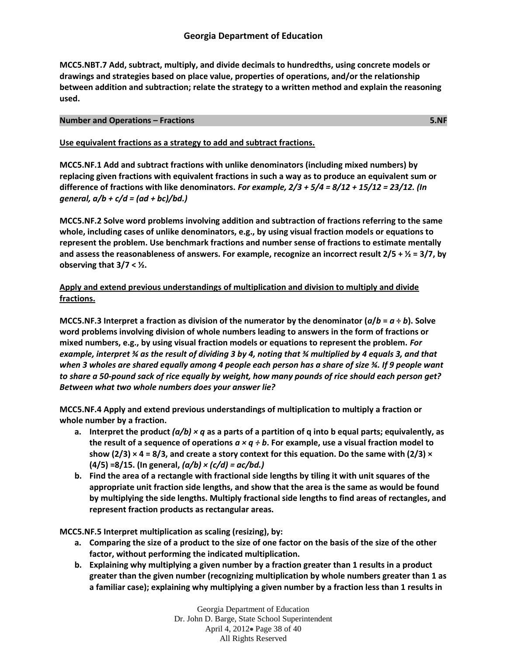**MCC5.NBT.7 Add, subtract, multiply, and divide decimals to hundredths, using concrete models or drawings and strategies based on place value, properties of operations, and/or the relationship between addition and subtraction; relate the strategy to a written method and explain the reasoning used.**

#### **Number and Operations – Fractions 5.NF**

## **Use equivalent fractions as a strategy to add and subtract fractions.**

**MCC5.NF.1 Add and subtract fractions with unlike denominators (including mixed numbers) by replacing given fractions with equivalent fractions in such a way as to produce an equivalent sum or difference of fractions with like denominators.** *For example, 2/3 + 5/4 = 8/12 + 15/12 = 23/12. (In general, a/b + c/d = (ad + bc)/bd.)*

**MCC5.NF.2 Solve word problems involving addition and subtraction of fractions referring to the same whole, including cases of unlike denominators, e.g., by using visual fraction models or equations to represent the problem. Use benchmark fractions and number sense of fractions to estimate mentally and assess the reasonableness of answers. For example, recognize an incorrect result 2/5 + ½ = 3/7, by observing that 3/7 < ½.**

# **Apply and extend previous understandings of multiplication and division to multiply and divide fractions.**

**MCC5.NF.3 Interpret a fraction as division of the numerator by the denominator**  $(a/b = a \div b)$ **. Solve word problems involving division of whole numbers leading to answers in the form of fractions or mixed numbers, e.g., by using visual fraction models or equations to represent the problem.** *For example, interpret ¾ as the result of dividing 3 by 4, noting that ¾ multiplied by 4 equals 3, and that when 3 wholes are shared equally among 4 people each person has a share of size ¾. If 9 people want to share a 50-pound sack of rice equally by weight, how many pounds of rice should each person get? Between what two whole numbers does your answer lie?*

**MCC5.NF.4 Apply and extend previous understandings of multiplication to multiply a fraction or whole number by a fraction.**

- **a. Interpret the product** *(a/b) × q* **as a parts of a partition of q into b equal parts; equivalently, as the result of a sequence of operations** *a × q ÷ b***. For example, use a visual fraction model to**  show ( $2/3$ )  $\times$  4 = 8/3, and create a story context for this equation. Do the same with ( $2/3$ )  $\times$ **(4/5) =8/15. (In general,** *(a/b) × (c/d) = ac/bd.)*
- **b. Find the area of a rectangle with fractional side lengths by tiling it with unit squares of the appropriate unit fraction side lengths, and show that the area is the same as would be found by multiplying the side lengths. Multiply fractional side lengths to find areas of rectangles, and represent fraction products as rectangular areas.**

**MCC5.NF.5 Interpret multiplication as scaling (resizing), by:**

- **a. Comparing the size of a product to the size of one factor on the basis of the size of the other factor, without performing the indicated multiplication.**
- **b. Explaining why multiplying a given number by a fraction greater than 1 results in a product greater than the given number (recognizing multiplication by whole numbers greater than 1 as a familiar case); explaining why multiplying a given number by a fraction less than 1 results in**

Georgia Department of Education Dr. John D. Barge, State School Superintendent April 4, 2012 Page 38 of 40 All Rights Reserved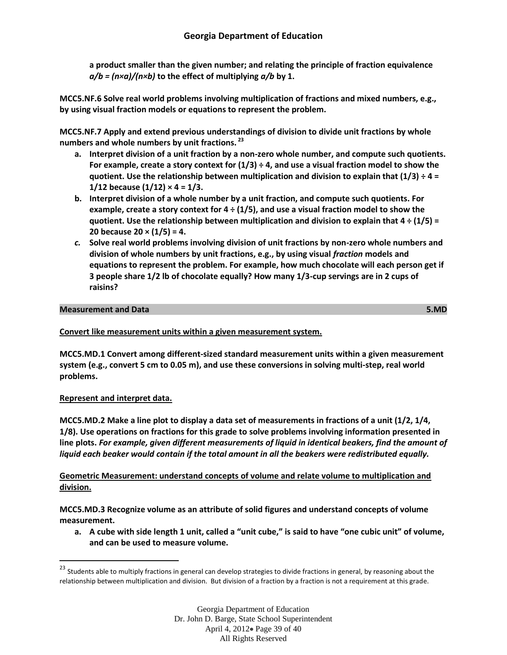**a product smaller than the given number; and relating the principle of fraction equivalence**  *a/b = (n×a)/(n×b)* **to the effect of multiplying** *a/b* **by 1.**

**MCC5.NF.6 Solve real world problems involving multiplication of fractions and mixed numbers, e.g., by using visual fraction models or equations to represent the problem.**

**MCC5.NF.7 Apply and extend previous understandings of division to divide unit fractions by whole numbers and whole numbers by unit fractions. <sup>23</sup>**

- **a. Interpret division of a unit fraction by a non-zero whole number, and compute such quotients. For example, create a story context for (1/3) ÷ 4, and use a visual fraction model to show the quotient. Use the relationship between multiplication and division to explain that (1/3) ÷ 4 = 1/12 because (1/12) × 4 = 1/3.**
- **b. Interpret division of a whole number by a unit fraction, and compute such quotients. For example, create a story context for 4 ÷ (1/5), and use a visual fraction model to show the quotient. Use the relationship between multiplication and division to explain that 4 ÷ (1/5) = 20 because 20 × (1/5) = 4.**
- *c.* **Solve real world problems involving division of unit fractions by non-zero whole numbers and division of whole numbers by unit fractions, e.g., by using visual** *fraction* **models and equations to represent the problem. For example, how much chocolate will each person get if 3 people share 1/2 lb of chocolate equally? How many 1/3-cup servings are in 2 cups of raisins?**

# **Measurement and Data 5.MD**

# **Convert like measurement units within a given measurement system.**

**MCC5.MD.1 Convert among different-sized standard measurement units within a given measurement system (e.g., convert 5 cm to 0.05 m), and use these conversions in solving multi-step, real world problems.**

# **Represent and interpret data.**

 $\overline{\phantom{a}}$ 

**MCC5.MD.2 Make a line plot to display a data set of measurements in fractions of a unit (1/2, 1/4, 1/8). Use operations on fractions for this grade to solve problems involving information presented in line plots.** *For example, given different measurements of liquid in identical beakers, find the amount of liquid each beaker would contain if the total amount in all the beakers were redistributed equally.*

**Geometric Measurement: understand concepts of volume and relate volume to multiplication and division.** 

**MCC5.MD.3 Recognize volume as an attribute of solid figures and understand concepts of volume measurement.**

**a. A cube with side length 1 unit, called a "unit cube," is said to have "one cubic unit" of volume, and can be used to measure volume.**

<sup>&</sup>lt;sup>23</sup> Students able to multiply fractions in general can develop strategies to divide fractions in general, by reasoning about the relationship between multiplication and division. But division of a fraction by a fraction is not a requirement at this grade.